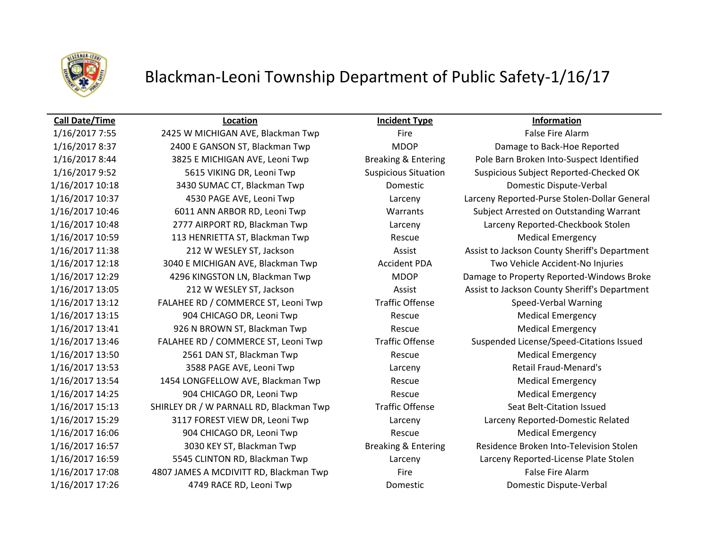

# Blackman-Leoni Township Department of Public Safety-1/16/17

### **Call Date/Time Location Incident Type Information**

1/16/2017 10:18 3430 SUMAC CT, Blackman Twp Domestic Domestic Dispute-Verbal 1/16/2017 10:59 113 HENRIETTA ST, Blackman Twp Rescue Medical Emergency 1/16/2017 13:12 FALAHEE RD / COMMERCE ST, Leoni Twp Traffic Offense Speed-Verbal Warning 1/16/2017 13:15 904 CHICAGO DR, Leoni Twp Rescue Rescue Medical Emergency 1/16/2017 13:41 926 N BROWN ST, Blackman Twp Rescue Rescue Medical Emergency 1/16/2017 13:50 2561 DAN ST, Blackman Twp Rescue Medical Emergency 1/16/2017 13:53 3588 PAGE AVE, Leoni Twp Larceny Retail Fraud-Menard's 1/16/2017 13:54 1454 LONGFELLOW AVE, Blackman Twp Rescue Medical Emergency 1/16/2017 14:25 904 CHICAGO DR, Leoni Twp Rescue Rescue Medical Emergency 1/16/2017 15:13 SHIRLEY DR / W PARNALL RD, Blackman Twp Traffic Offense Seat Belt-Citation Issued 1/16/2017 16:06 904 CHICAGO DR, Leoni Twp Rescue Rescue Medical Emergency 1/16/2017 17:08 4807 JAMES A MCDIVITT RD, Blackman Twp Fire Fire False Fire Alarm 1/16/2017 17:26 4749 RACE RD, Leoni Twp Domestic Domestic Dispute-Verbal

1/16/2017 7:55 2425 W MICHIGAN AVE, Blackman Twp Fire Fire Fire False Fire Alarm 1/16/2017 8:37 2400 E GANSON ST, Blackman Twp MDOP Damage to Back-Hoe Reported 1/16/2017 8:44 3825 E MICHIGAN AVE, Leoni Twp Breaking & Entering Pole Barn Broken Into-Suspect Identified 1/16/2017 9:52 5615 VIKING DR, Leoni Twp Suspicious Situation Suspicious Subject Reported-Checked OK 1/16/2017 10:37 4530 PAGE AVE, Leoni Twp Larceny Larceny Reported-Purse Stolen-Dollar General 1/16/2017 10:46 6011 ANN ARBOR RD, Leoni Twp Warrants Subject Arrested on Outstanding Warrant 1/16/2017 10:48 2777 AIRPORT RD, Blackman Twp Larceny Larceny Reported-Checkbook Stolen 1/16/2017 11:38 212 W WESLEY ST, Jackson Assist Assist Assist to Jackson County Sheriff's Department 1/16/2017 12:18 3040 E MICHIGAN AVE, Blackman Twp Accident PDA Two Vehicle Accident-No Injuries 1/16/2017 12:29 4296 KINGSTON LN, Blackman Twp MDOP Damage to Property Reported-Windows Broke 1/16/2017 13:05 212 W WESLEY ST, Jackson Assist Assist to Jackson County Sheriff's Department 1/16/2017 13:46 FALAHEE RD / COMMERCE ST, Leoni Twp Traffic Offense Suspended License/Speed-Citations Issued 1/16/2017 15:29 3117 FOREST VIEW DR, Leoni Twp Larceny Larceny Reported-Domestic Related 1/16/2017 16:57 3030 KEY ST, Blackman Twp Breaking & Entering Residence Broken Into-Television Stolen 1/16/2017 16:59 5545 CLINTON RD, Blackman Twp Larceny Larceny Reported-License Plate Stolen